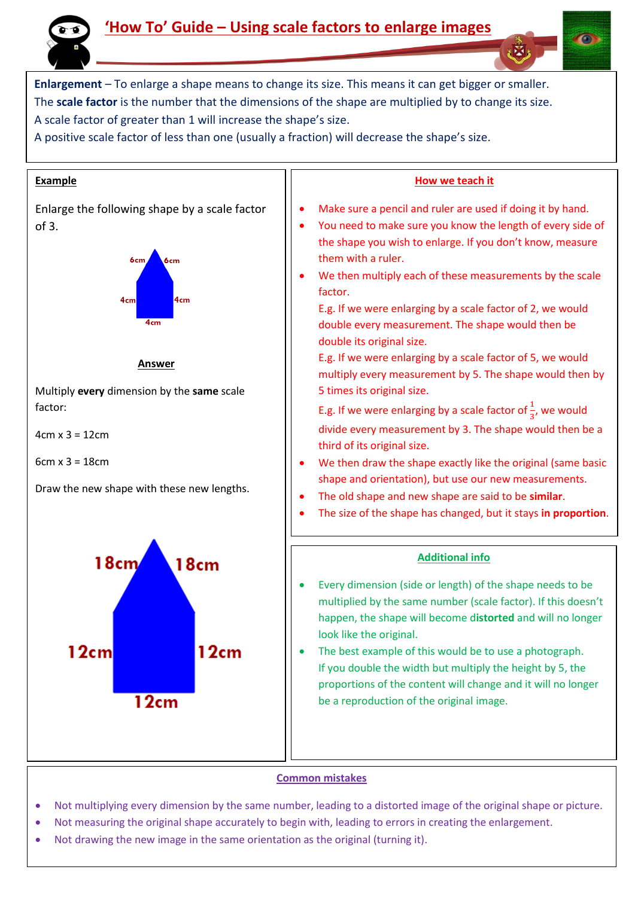

## **'How To' Guide – Using scale factors to enlarge images**

**Enlargement** – To enlarge a shape means to change its size. This means it can get bigger or smaller. The **scale factor** is the number that the dimensions of the shape are multiplied by to change its size. A scale factor of greater than 1 will increase the shape's size.

A positive scale factor of less than one (usually a fraction) will decrease the shape's size.



## **Common mistakes**

- Not multiplying every dimension by the same number, leading to a distorted image of the original shape or picture.
- Not measuring the original shape accurately to begin with, leading to errors in creating the enlargement.
- Not drawing the new image in the same orientation as the original (turning it).